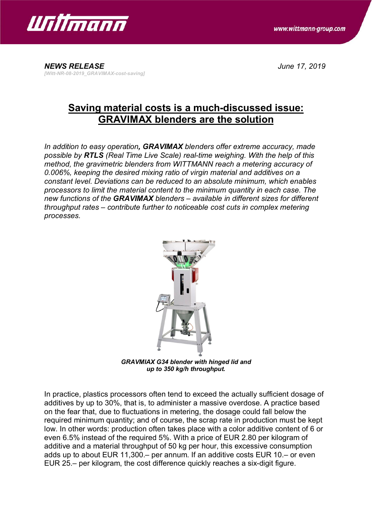



## **Saving material costs is a much-discussed issue: GRAVIMAX blenders are the solution**

*In addition to easy operation, GRAVIMAX blenders offer extreme accuracy, made possible by RTLS (Real Time Live Scale) real-time weighing. With the help of this method, the gravimetric blenders from WITTMANN reach a metering accuracy of 0.006%, keeping the desired mixing ratio of virgin material and additives on a constant level. Deviations can be reduced to an absolute minimum, which enables processors to limit the material content to the minimum quantity in each case. The new functions of the GRAVIMAX blenders – available in different sizes for different throughput rates – contribute further to noticeable cost cuts in complex metering processes.*



*GRAVMIAX G34 blender with hinged lid and up to 350 kg/h throughput.*

In practice, plastics processors often tend to exceed the actually sufficient dosage of additives by up to 30%, that is, to administer a massive overdose. A practice based on the fear that, due to fluctuations in metering, the dosage could fall below the required minimum quantity; and of course, the scrap rate in production must be kept low. In other words: production often takes place with a color additive content of 6 or even 6.5% instead of the required 5%. With a price of EUR 2.80 per kilogram of additive and a material throughput of 50 kg per hour, this excessive consumption adds up to about EUR 11,300.– per annum. If an additive costs EUR 10.– or even EUR 25.– per kilogram, the cost difference quickly reaches a six-digit figure.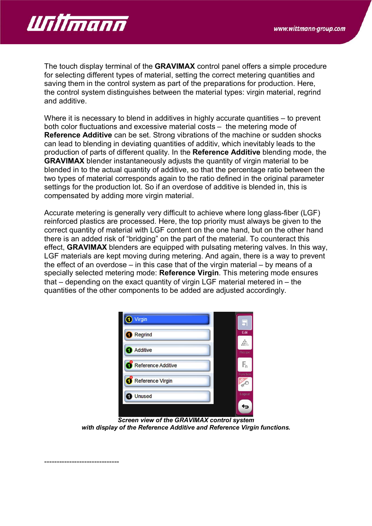

The touch display terminal of the **GRAVIMAX** control panel offers a simple procedure for selecting different types of material, setting the correct metering quantities and saving them in the control system as part of the preparations for production. Here, the control system distinguishes between the material types: virgin material, regrind and additive.

Where it is necessary to blend in additives in highly accurate quantities – to prevent both color fluctuations and excessive material costs – the metering mode of **Reference Additive** can be set. Strong vibrations of the machine or sudden shocks can lead to blending in deviating quantities of additiv, which inevitably leads to the production of parts of different quality. In the **Reference Additive** blending mode, the **GRAVIMAX** blender instantaneously adjusts the quantity of virgin material to be blended in to the actual quantity of additive, so that the percentage ratio between the two types of material corresponds again to the ratio defined in the original parameter settings for the production lot. So if an overdose of additive is blended in, this is compensated by adding more virgin material.

Accurate metering is generally very difficult to achieve where long glass-fiber (LGF) reinforced plastics are processed. Here, the top priority must always be given to the correct quantity of material with LGF content on the one hand, but on the other hand there is an added risk of "bridging" on the part of the material. To counteract this effect, **GRAVIMAX** blenders are equipped with pulsating metering valves. In this way, LGF materials are kept moving during metering. And again, there is a way to prevent the effect of an overdose – in this case that of the virgin material – by means of a specially selected metering mode: **Reference Virgin**. This metering mode ensures that – depending on the exact quantity of virgin LGF material metered in – the quantities of the other components to be added are adjusted accordingly.

| Virgin                  | Б                                    |
|-------------------------|--------------------------------------|
| <b>Regrind</b>          | Edit                                 |
| <b>Additive</b>         | öά<br>$\frac{1000}{10000}$<br>Recipe |
| Reference Additive<br>и | $F_n$                                |
| Reference Virgin        | Function                             |
| <b>Unused</b>           | Logout                               |
|                         |                                      |

*Screen view of the GRAVIMAX control system with display of the Reference Additive and Reference Virgin functions.*

------------------------------